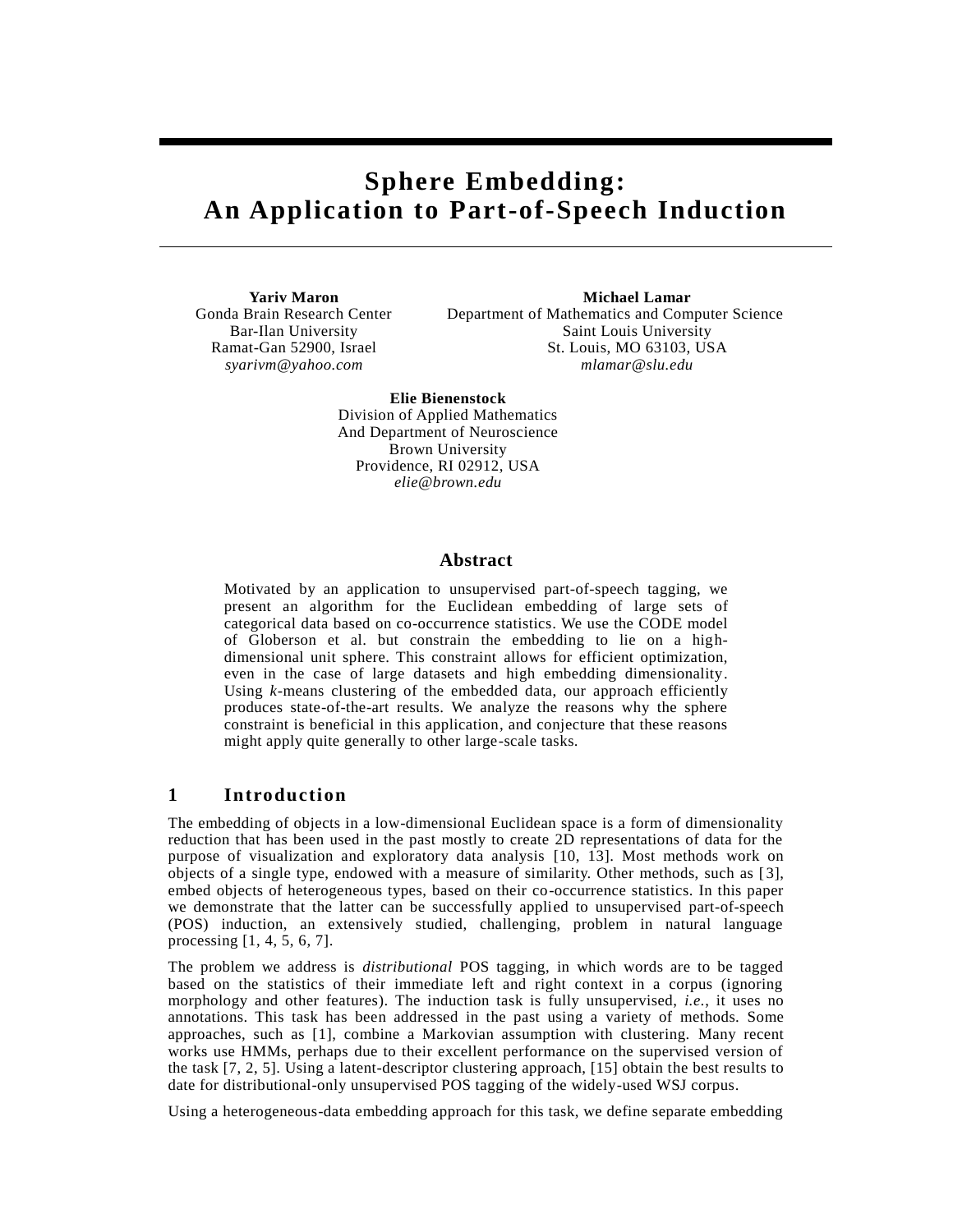# **Sphere Embedding: An Application to Part-of-Speech Induction**

**Yariv Maron Michael Lamar** Gonda Brain Research Center Department of Mathematics and Computer Science Bar-Ilan University Saint Louis University Ramat-Gan 52900, Israel St. Louis, MO 63103, USA *syarivm@yahoo.com mlamar@slu.edu*

> **Elie Bienenstock** Division of Applied Mathematics And Department of Neuroscience Brown University Providence, RI 02912, USA *elie@brown.edu*

### **Abstract**

Motivated by an application to unsupervised part-of-speech tagging, we present an algorithm for the Euclidean embedding of large sets of categorical data based on co-occurrence statistics. We use the CODE model of Globerson et al. but constrain the embedding to lie on a highdimensional unit sphere. This constraint allows for efficient optimization, even in the case of large datasets and high embedding dimensionality. Using *k*-means clustering of the embedded data, our approach efficiently produces state-of-the-art results. We analyze the reasons why the sphere constraint is beneficial in this application, and conjecture that these reasons might apply quite generally to other large-scale tasks.

# **1 Introduction**

The embedding of objects in a low-dimensional Euclidean space is a form of dimensionality reduction that has been used in the past mostly to create 2D representations of data for the purpose of visualization and exploratory data analysis [10, 13]. Most methods work on objects of a single type, endowed with a measure of similarity. Other methods, such as [ 3], embed objects of heterogeneous types, based on their co-occurrence statistics. In this paper we demonstrate that the latter can be successfully applied to unsupervised part-of-speech (POS) induction, an extensively studied, challenging, problem in natural language processing [1, 4, 5, 6, 7].

The problem we address is *distributional* POS tagging, in which words are to be tagged based on the statistics of their immediate left and right context in a corpus (ignoring morphology and other features). The induction task is fully unsupervised, *i.e.*, it uses no annotations. This task has been addressed in the past using a variety of methods. Some approaches, such as [1], combine a Markovian assumption with clustering. Many recent works use HMMs, perhaps due to their excellent performance on the supervised version of the task [7, 2, 5]. Using a latent-descriptor clustering approach, [15] obtain the best results to date for distributional-only unsupervised POS tagging of the widely-used WSJ corpus.

Using a heterogeneous-data embedding approach for this task, we define separate embedding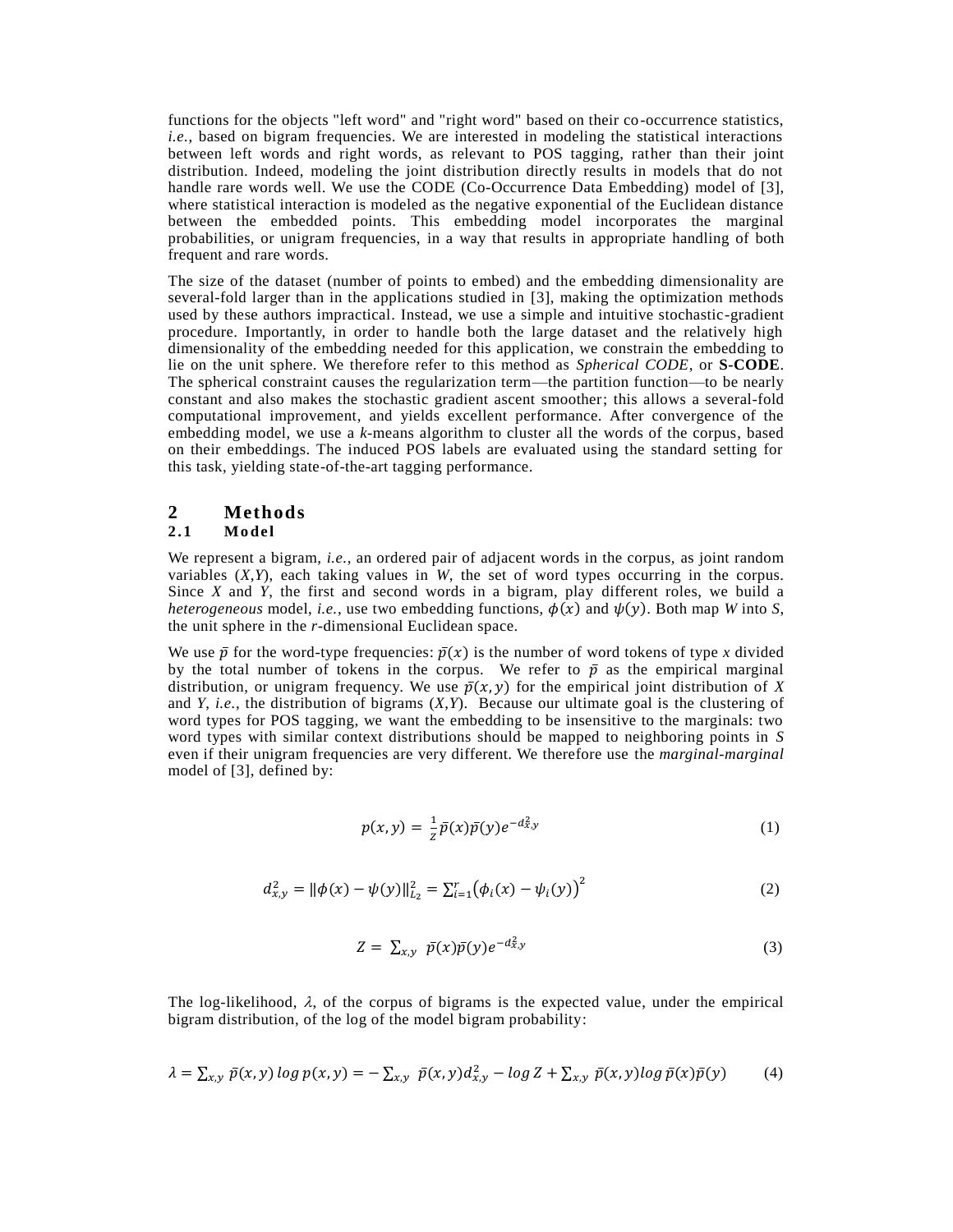functions for the objects "left word" and "right word" based on their co-occurrence statistics, *i.e.*, based on bigram frequencies. We are interested in modeling the statistical interactions between left words and right words, as relevant to POS tagging, rather than their joint distribution. Indeed, modeling the joint distribution directly results in models that do not handle rare words well. We use the CODE (Co-Occurrence Data Embedding) model of [3], where statistical interaction is modeled as the negative exponential of the Euclidean distance between the embedded points. This embedding model incorporates the marginal probabilities, or unigram frequencies, in a way that results in appropriate handling of both frequent and rare words.

The size of the dataset (number of points to embed) and the embedding dimensionality are several-fold larger than in the applications studied in [3], making the optimization methods used by these authors impractical. Instead, we use a simple and intuitive stochastic-gradient procedure. Importantly, in order to handle both the large dataset and the relatively high dimensionality of the embedding needed for this application, we constrain the embedding to lie on the unit sphere. We therefore refer to this method as *Spherical CODE*, or **S-CODE**. The spherical constraint causes the regularization term—the partition function—to be nearly constant and also makes the stochastic gradient ascent smoother; this allows a several-fold computational improvement, and yields excellent performance. After convergence of the embedding model, we use a *k*-means algorithm to cluster all the words of the corpus, based on their embeddings. The induced POS labels are evaluated using the standard setting for this task, yielding state-of-the-art tagging performance.

### **2 Methods 2 .1 M o del**

### We represent a bigram, *i.e.*, an ordered pair of adjacent words in the corpus, as joint random variables (*X*,*Y*), each taking values in *W*, the set of word types occurring in the corpus. Since *X* and *Y*, the first and second words in a bigram, play different roles, we build a *heterogeneous* model, *i.e.*, use two embedding functions,  $\phi(x)$  and  $\psi(y)$ . Both map *W* into *S*,

the unit sphere in the *r*-dimensional Euclidean space.

We use  $\bar{p}$  for the word-type frequencies:  $\bar{p}(x)$  is the number of word tokens of type x divided by the total number of tokens in the corpus. We refer to  $\bar{p}$  as the empirical marginal distribution, or unigram frequency. We use  $\bar{p}(x, y)$  for the empirical joint distribution of X and *Y*, *i.e.*, the distribution of bigrams (*X*,*Y*). Because our ultimate goal is the clustering of word types for POS tagging, we want the embedding to be insensitive to the marginals: two word types with similar context distributions should be mapped to neighboring points in *S* even if their unigram frequencies are very different. We therefore use the *marginal-marginal*  model of [3], defined by:

$$
p(x,y) = \frac{1}{z}\bar{p}(x)\bar{p}(y)e^{-d_{x,y}^2}
$$
\n(1)

$$
d_{x,y}^{2} = \|\phi(x) - \psi(y)\|_{L_{2}}^{2} = \sum_{i=1}^{r} (\phi_{i}(x) - \psi_{i}(y))^{2}
$$
 (2)

$$
Z = \sum_{x,y} \bar{p}(x)\bar{p}(y)e^{-d_{x,y}^2}
$$
 (3)

The log-likelihood,  $\lambda$ , of the corpus of bigrams is the expected value, under the empirical bigram distribution, of the log of the model bigram probability:

$$
\lambda = \sum_{x,y} \bar{p}(x,y) \log p(x,y) = -\sum_{x,y} \bar{p}(x,y) d_{x,y}^2 - \log Z + \sum_{x,y} \bar{p}(x,y) \log \bar{p}(x) \bar{p}(y) \tag{4}
$$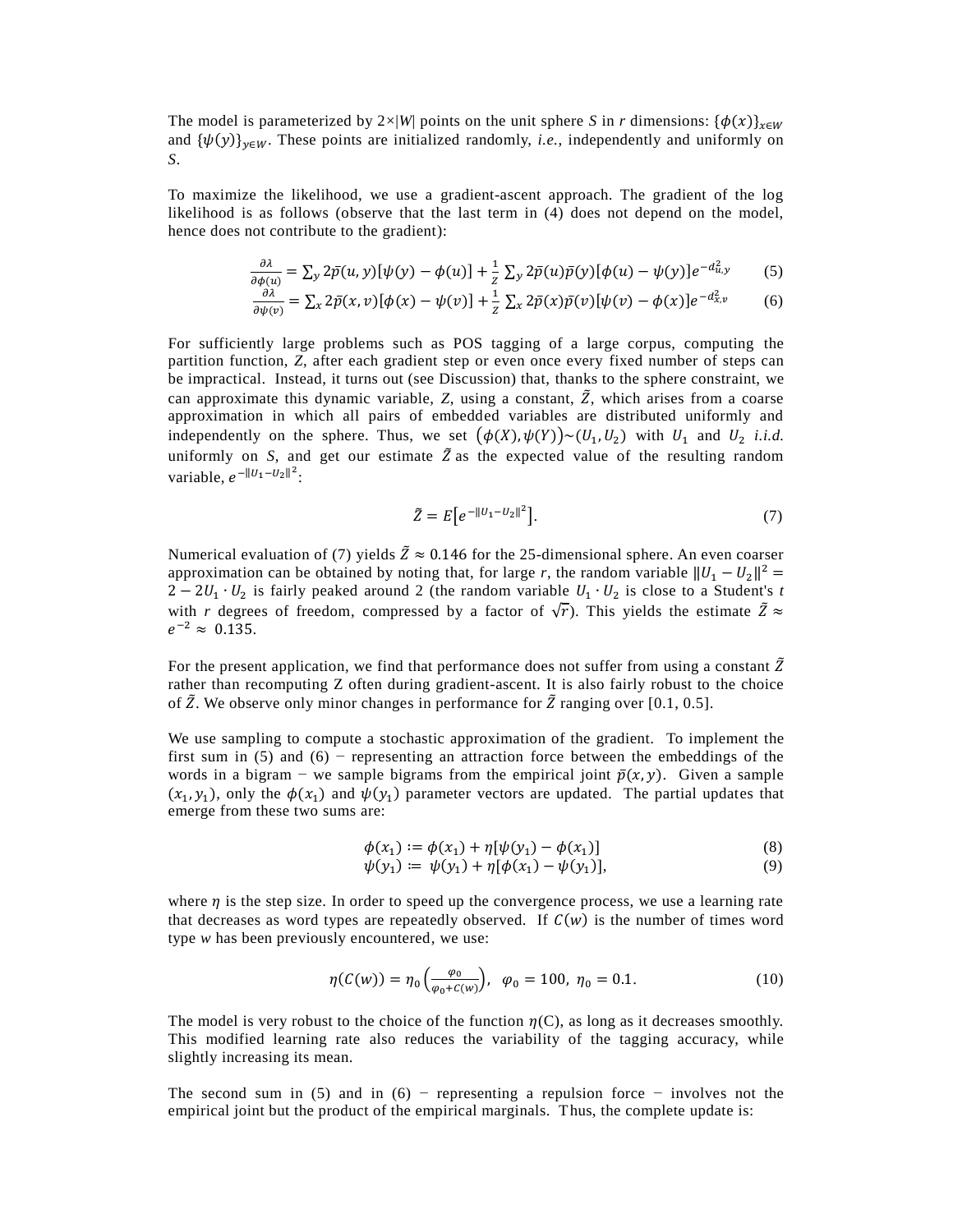The model is parameterized by  $2\times|W|$  points on the unit sphere *S* in *r* dimensions:  $\{\phi(x)\}_{x\in W}$ and  $\{\psi(y)\}_{y \in W}$ . These points are initialized randomly, *i.e.*, independently and uniformly on *S*.

To maximize the likelihood, we use a gradient-ascent approach. The gradient of the log likelihood is as follows (observe that the last term in (4) does not depend on the model, hence does not contribute to the gradient):

$$
\frac{\partial \lambda}{\partial \phi(u)} = \sum_{y} 2\bar{p}(u, y)[\psi(y) - \phi(u)] + \frac{1}{z} \sum_{y} 2\bar{p}(u)\bar{p}(y)[\phi(u) - \psi(y)]e^{-d_{u,y}^2}
$$
(5)

$$
\frac{\partial \lambda}{\partial \psi(v)} = \sum_{x} 2\bar{p}(x, v)[\phi(x) - \psi(v)] + \frac{1}{z} \sum_{x} 2\bar{p}(x)\bar{p}(v)[\psi(v) - \phi(x)]e^{-d_{x,v}^2}
$$
(6)

For sufficiently large problems such as POS tagging of a large corpus, computing the partition function, *Z*, after each gradient step or even once every fixed number of steps can be impractical. Instead, it turns out (see Discussion) that, thanks to the sphere constraint, we can approximate this dynamic variable,  $Z$ , using a constant,  $\tilde{Z}$ , which arises from a coarse approximation in which all pairs of embedded variables are distributed uniformly and independently on the sphere. Thus, we set  $(\phi(X), \psi(Y)) \sim (U_1, U_2)$  with  $U_1$  and  $U_2$  *i.i.d.* uniformly on *S*, and get our estimate  $\tilde{Z}$  as the expected value of the resulting random variable,  $e^{-\|U_1-U_2\|^2}$ :

$$
\tilde{Z} = E\big[e^{-\|U_1 - U_2\|^2}\big].\tag{7}
$$

Numerical evaluation of (7) yields  $\tilde{Z} \approx 0.146$  for the 25-dimensional sphere. An even coarser approximation can be obtained by noting that, for large *r*, the random variable  $||U_1 - U_2||^2$  $2-2U_1 \cdot U_2$  is fairly peaked around 2 (the random variable  $U_1 \cdot U_2$  is close to a Student's *t* with *r* degrees of freedom, compressed by a factor of  $\sqrt{r}$ ). This yields the estimate  $\tilde{Z} \approx$  $e^{-2} \approx 0.135.$ 

For the present application, we find that performance does not suffer from using a constant  $\tilde{Z}$ rather than recomputing Z often during gradient-ascent. It is also fairly robust to the choice of  $\tilde{Z}$ . We observe only minor changes in performance for  $\tilde{Z}$  ranging over [0.1, 0.5].

We use sampling to compute a stochastic approximation of the gradient. To implement the first sum in (5) and (6) − representing an attraction force between the embeddings of the words in a bigram – we sample bigrams from the empirical joint  $\bar{p}(x, y)$ . Given a sample  $(x_1, y_1)$ , only the  $\phi(x_1)$  and  $\psi(y_1)$  parameter vectors are updated. The partial updates that emerge from these two sums are:

$$
\phi(x_1) := \phi(x_1) + \eta[\psi(y_1) - \phi(x_1)]
$$
\n(8)

$$
\psi(y_1) \coloneqq \psi(y_1) + \eta[\phi(x_1) - \psi(y_1)],\tag{9}
$$

where  $\eta$  is the step size. In order to speed up the convergence process, we use a learning rate that decreases as word types are repeatedly observed. If  $C(w)$  is the number of times word type *w* has been previously encountered, we use:

$$
\eta(C(w)) = \eta_0\left(\frac{\varphi_0}{\varphi_0 + C(w)}\right), \quad \varphi_0 = 100, \ \eta_0 = 0.1. \tag{10}
$$

The model is very robust to the choice of the function  $\eta(C)$ , as long as it decreases smoothly. This modified learning rate also reduces the variability of the tagging accuracy, while slightly increasing its mean.

The second sum in (5) and in (6) – representing a repulsion force – involves not the empirical joint but the product of the empirical marginals. Thus, the complete update is: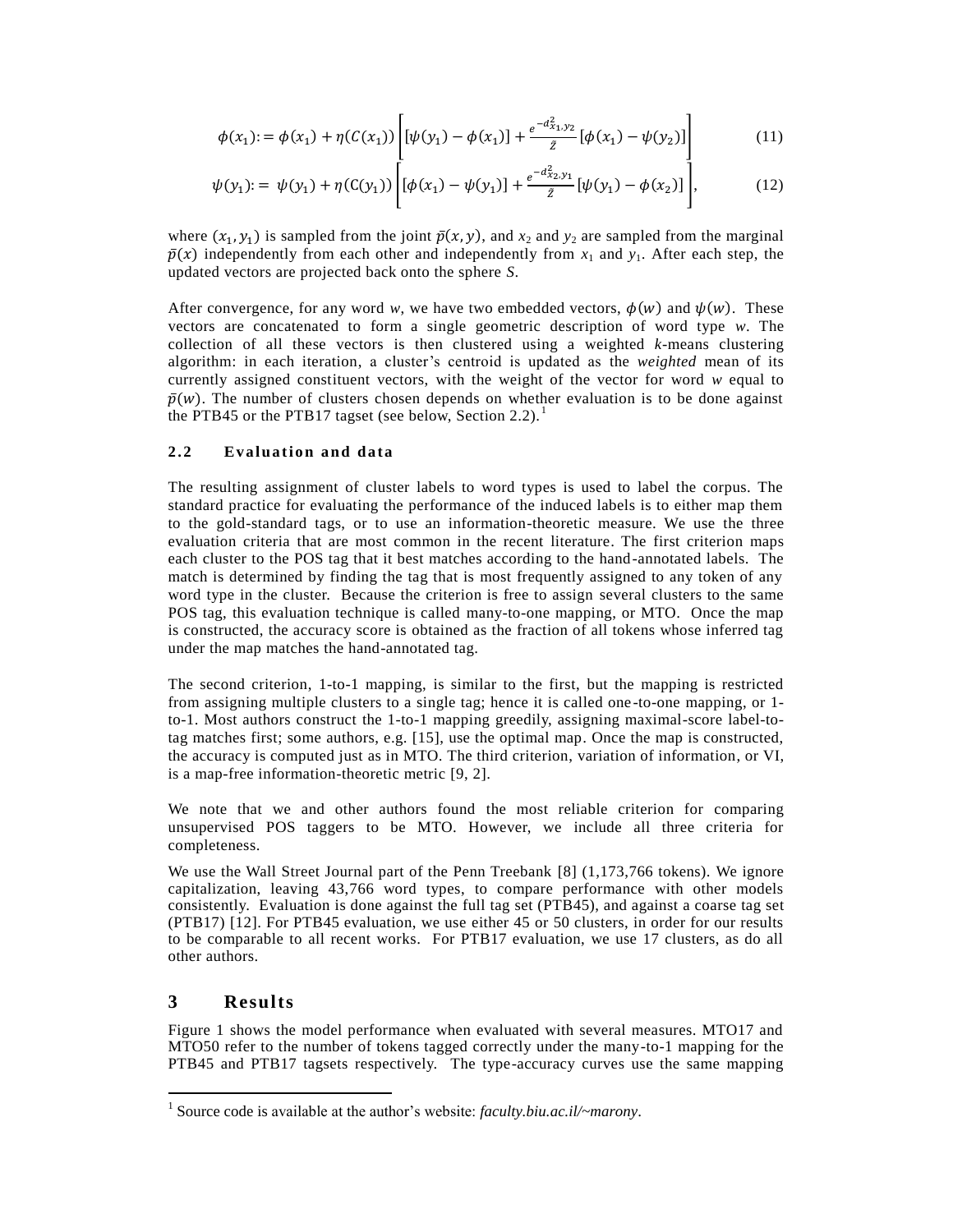$$
\phi(x_1) := \phi(x_1) + \eta(C(x_1)) \left[ [\psi(y_1) - \phi(x_1)] + \frac{e^{-d_{x_1, y_2}^2}}{\tilde{z}} [\phi(x_1) - \psi(y_2)] \right]
$$
(11)

$$
\psi(y_1) := \psi(y_1) + \eta(C(y_1)) \left[ [\phi(x_1) - \psi(y_1)] + \frac{e^{-d_{X_2}^2 y_1}}{\bar{z}} [\psi(y_1) - \phi(x_2)] \right],
$$
\n(12)

where  $(x_1, y_1)$  is sampled from the joint  $\bar{p}(x, y)$ , and  $x_2$  and  $y_2$  are sampled from the marginal  $\bar{p}(x)$  independently from each other and independently from  $x_1$  and  $y_1$ . After each step, the updated vectors are projected back onto the sphere *S*.

After convergence, for any word *w*, we have two embedded vectors,  $\phi(w)$  and  $\psi(w)$ . These vectors are concatenated to form a single geometric description of word type *w*. The collection of all these vectors is then clustered using a weighted *k*-means clustering algorithm: in each iteration, a cluster's centroid is updated as the *weighted* mean of its currently assigned constituent vectors, with the weight of the vector for word *w* equal to  $\bar{p}(w)$ . The number of clusters chosen depends on whether evaluation is to be done against the PTB45 or the PTB17 tagset (see below, Section 2.2).<sup>1</sup>

### 2.2 **Evaluation and data**

The resulting assignment of cluster labels to word types is used to label the corpus. The standard practice for evaluating the performance of the induced labels is to either map them to the gold-standard tags, or to use an information-theoretic measure. We use the three evaluation criteria that are most common in the recent literature. The first criterion maps each cluster to the POS tag that it best matches according to the hand-annotated labels. The match is determined by finding the tag that is most frequently assigned to any token of any word type in the cluster. Because the criterion is free to assign several clusters to the same POS tag, this evaluation technique is called many-to-one mapping, or MTO. Once the map is constructed, the accuracy score is obtained as the fraction of all tokens whose inferred tag under the map matches the hand-annotated tag.

The second criterion, 1-to-1 mapping, is similar to the first, but the mapping is restricted from assigning multiple clusters to a single tag; hence it is called one -to-one mapping, or 1 to-1. Most authors construct the 1-to-1 mapping greedily, assigning maximal-score label-totag matches first; some authors, e.g. [15], use the optimal map. Once the map is constructed, the accuracy is computed just as in MTO. The third criterion, variation of information, or VI, is a map-free information-theoretic metric [9, 2].

We note that we and other authors found the most reliable criterion for comparing unsupervised POS taggers to be MTO. However, we include all three criteria for completeness.

We use the Wall Street Journal part of the Penn Treebank [8] (1,173,766 tokens). We ignore capitalization, leaving 43,766 word types, to compare performance with other models consistently. Evaluation is done against the full tag set (PTB45), and against a coarse tag set (PTB17) [12]. For PTB45 evaluation, we use either 45 or 50 clusters, in order for our results to be comparable to all recent works. For PTB17 evaluation, we use 17 clusters, as do all other authors.

# **3 Results**

 $\overline{a}$ 

Figure 1 shows the model performance when evaluated with several measures. MTO17 and MTO50 refer to the number of tokens tagged correctly under the many-to-1 mapping for the PTB45 and PTB17 tagsets respectively. The type-accuracy curves use the same mapping

<sup>&</sup>lt;sup>1</sup> Source code is available at the author's website: *faculty.biu.ac.il/~marony*.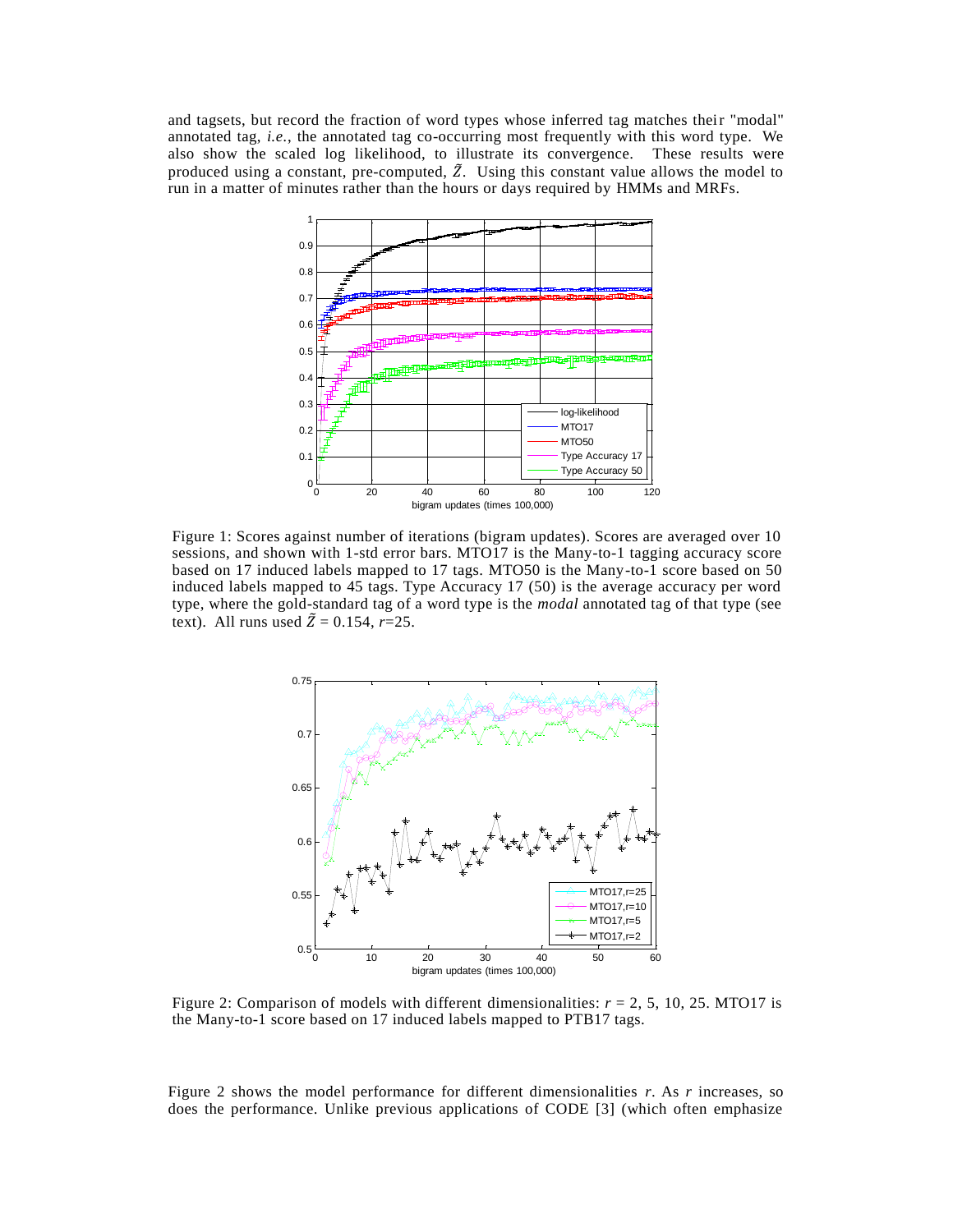and tagsets, but record the fraction of word types whose inferred tag matches their "modal" annotated tag, *i.e.*, the annotated tag co-occurring most frequently with this word type. We also show the scaled log likelihood, to illustrate its convergence. These results were produced using a constant, pre-computed,  $\tilde{Z}$ . Using this constant value allows the model to run in a matter of minutes rather than the hours or days required by HMMs and MRFs.



Figure 1: Scores against number of iterations (bigram updates). Scores are averaged over 10 sessions, and shown with 1-std error bars. MTO17 is the Many-to-1 tagging accuracy score based on 17 induced labels mapped to 17 tags. MTO50 is the Many-to-1 score based on 50 induced labels mapped to 45 tags. Type Accuracy 17 (50) is the average accuracy per word type, where the gold-standard tag of a word type is the *modal* annotated tag of that type (see text). All runs used  $\tilde{Z} = 0.154$ ,  $r=25$ .



Figure 2: Comparison of models with different dimensionalities:  $r = 2$ , 5, 10, 25. MTO17 is the Many-to-1 score based on 17 induced labels mapped to PTB17 tags.

Figure 2 shows the model performance for different dimensionalities *r*. As *r* increases, so does the performance. Unlike previous applications of CODE [3] (which often emphasize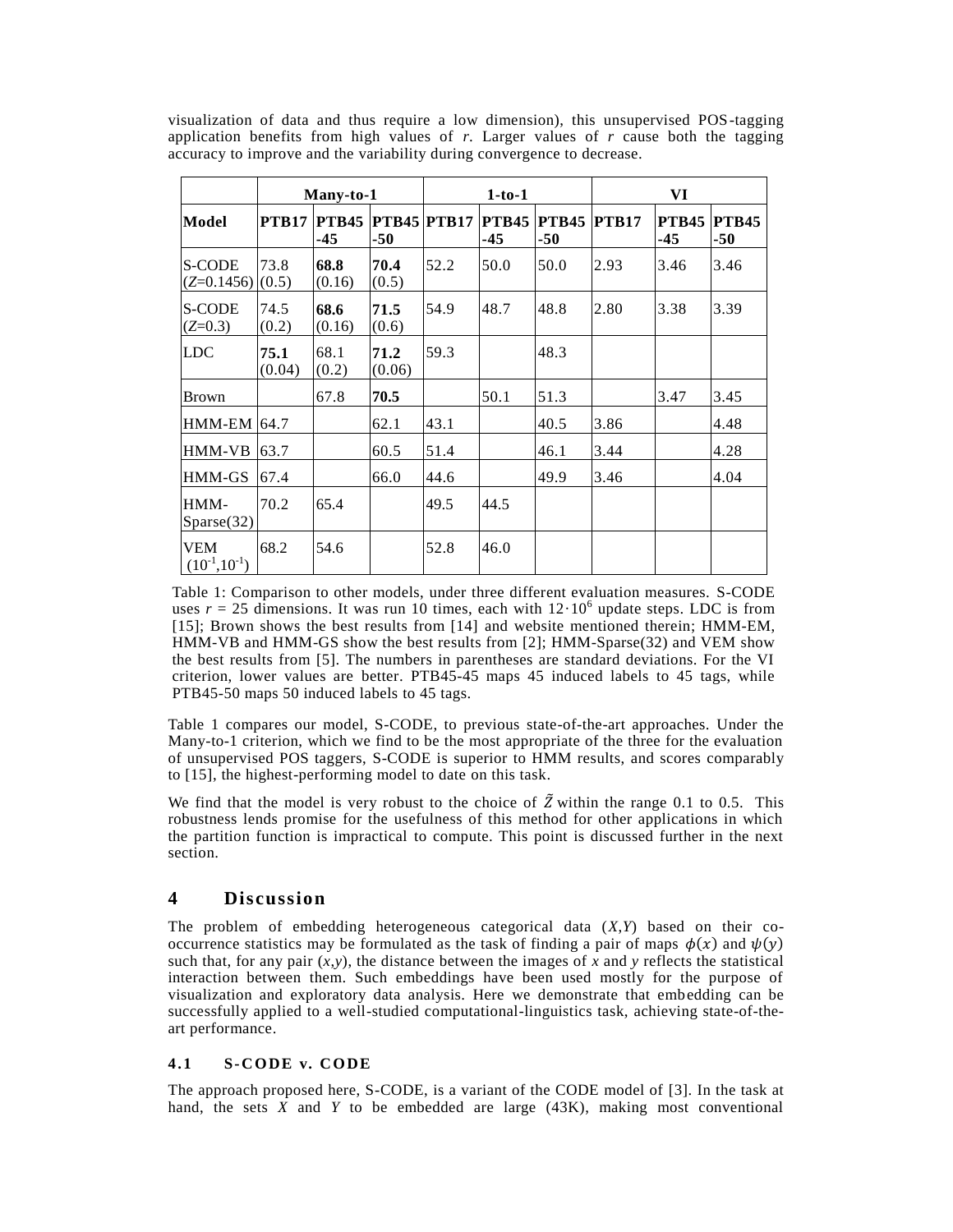|                             | Many-to-1      |                     |                             | $1-to-1$ |                       |                     | VI           |                       |                       |
|-----------------------------|----------------|---------------------|-----------------------------|----------|-----------------------|---------------------|--------------|-----------------------|-----------------------|
| Model                       | <b>PTB17</b>   | <b>PTB45</b><br>-45 | <b>PTB45 PTB17</b><br>$-50$ |          | <b>PTB45</b><br>$-45$ | <b>PTB45</b><br>-50 | <b>PTB17</b> | <b>PTB45</b><br>$-45$ | <b>PTB45</b><br>$-50$ |
| S-CODE<br>$(Z=0.1456)$      | 73.8<br>(0.5)  | 68.8<br>(0.16)      | 70.4<br>(0.5)               | 52.2     | 50.0                  | 50.0                | 2.93         | 3.46                  | 3.46                  |
| S-CODE<br>$(Z=0.3)$         | 74.5<br>(0.2)  | 68.6<br>(0.16)      | 71.5<br>(0.6)               | 54.9     | 48.7                  | 48.8                | 2.80         | 3.38                  | 3.39                  |
| <b>LDC</b>                  | 75.1<br>(0.04) | 68.1<br>(0.2)       | 71.2<br>(0.06)              | 59.3     |                       | 48.3                |              |                       |                       |
| Brown                       |                | 67.8                | 70.5                        |          | 50.1                  | 51.3                |              | 3.47                  | 3.45                  |
| <b>HMM-EM 64.7</b>          |                |                     | 62.1                        | 43.1     |                       | 40.5                | 3.86         |                       | 4.48                  |
| HMM-VB                      | 63.7           |                     | 60.5                        | 51.4     |                       | 46.1                | 3.44         |                       | 4.28                  |
| HMM-GS                      | 67.4           |                     | 66.0                        | 44.6     |                       | 49.9                | 3.46         |                       | 4.04                  |
| HMM-<br>Sparse(32)          | 70.2           | 65.4                |                             | 49.5     | 44.5                  |                     |              |                       |                       |
| VEM<br>$(10^{-1}, 10^{-1})$ | 68.2           | 54.6                |                             | 52.8     | 46.0                  |                     |              |                       |                       |

visualization of data and thus require a low dimension), this unsupervised POS-tagging application benefits from high values of  $r$ . Larger values of  $r$  cause both the tagging accuracy to improve and the variability during convergence to decrease.

Table 1: Comparison to other models, under three different evaluation measures. S-CODE uses  $r = 25$  dimensions. It was run 10 times, each with  $12 \cdot 10^6$  update steps. LDC is from [15]; Brown shows the best results from [14] and website mentioned therein; HMM-EM, HMM-VB and HMM-GS show the best results from [2]; HMM-Sparse(32) and VEM show the best results from [5]. The numbers in parentheses are standard deviations. For the VI criterion, lower values are better. PTB45-45 maps 45 induced labels to 45 tags, while PTB45-50 maps 50 induced labels to 45 tags.

Table 1 compares our model, S-CODE, to previous state-of-the-art approaches. Under the Many-to-1 criterion, which we find to be the most appropriate of the three for the evaluation of unsupervised POS taggers, S-CODE is superior to HMM results, and scores comparably to [15], the highest-performing model to date on this task.

We find that the model is very robust to the choice of  $\tilde{Z}$  within the range 0.1 to 0.5. This robustness lends promise for the usefulness of this method for other applications in which the partition function is impractical to compute. This point is discussed further in the next section.

# **4 Discussion**

The problem of embedding heterogeneous categorical data (*X*,*Y*) based on their cooccurrence statistics may be formulated as the task of finding a pair of maps  $\phi(x)$  and  $\psi(y)$ such that, for any pair  $(x,y)$ , the distance between the images of x and y reflects the statistical interaction between them. Such embeddings have been used mostly for the purpose of visualization and exploratory data analysis. Here we demonstrate that embedding can be successfully applied to a well-studied computational-linguistics task, achieving state-of-theart performance.

### **4 .1 S-CO DE v. CO DE**

The approach proposed here, S-CODE, is a variant of the CODE model of [3]. In the task at hand, the sets  $\hat{X}$  and  $\hat{Y}$  to be embedded are large (43K), making most conventional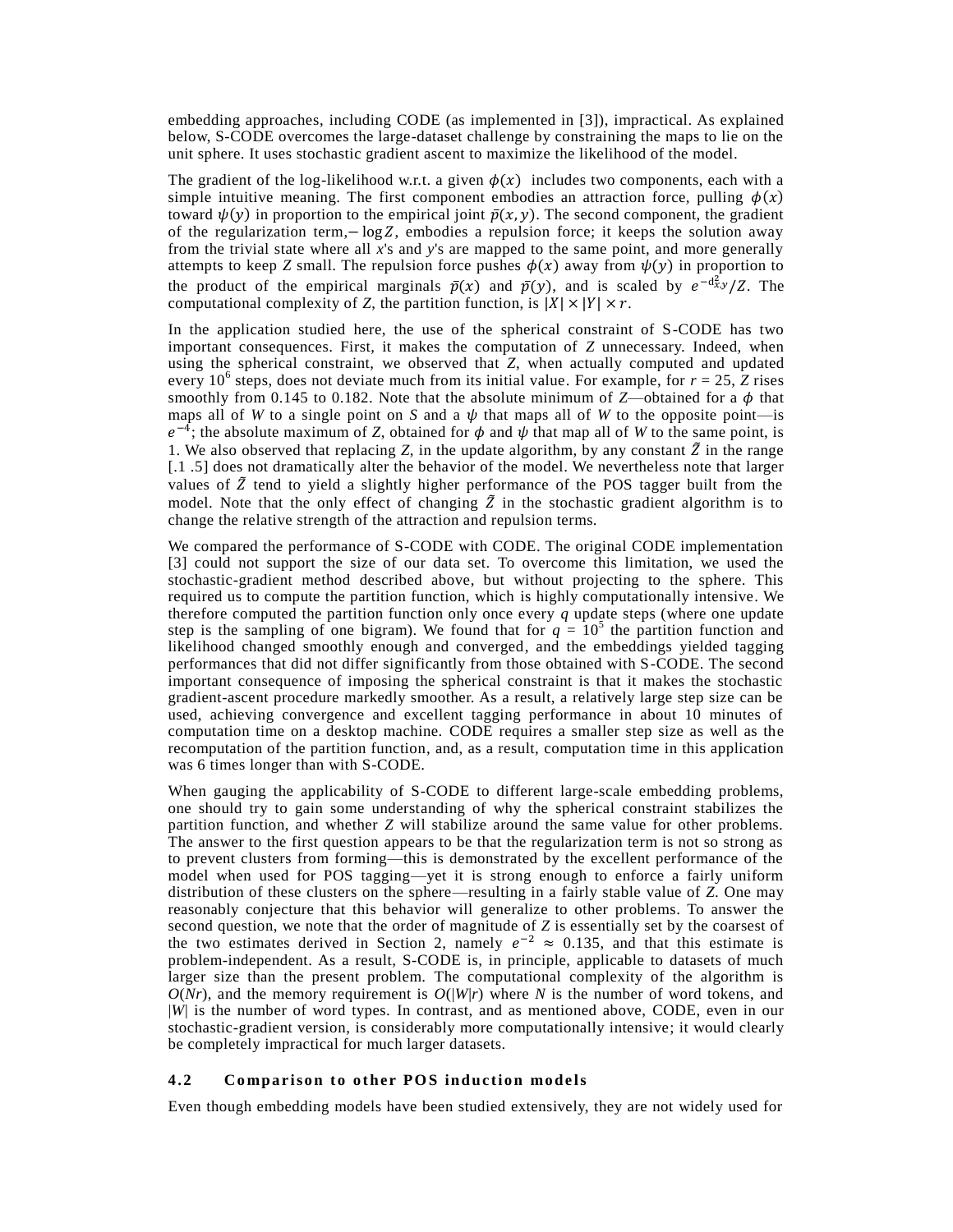embedding approaches, including CODE (as implemented in [3]), impractical. As explained below, S-CODE overcomes the large-dataset challenge by constraining the maps to lie on the unit sphere. It uses stochastic gradient ascent to maximize the likelihood of the model.

The gradient of the log-likelihood w.r.t. a given  $\phi(x)$  includes two components, each with a simple intuitive meaning. The first component embodies an attraction force, pulling  $\phi(x)$ toward  $\psi(y)$  in proportion to the empirical joint  $\bar{p}(x, y)$ . The second component, the gradient of the regularization term,  $-\log Z$ , embodies a repulsion force; it keeps the solution away from the trivial state where all *x*'s and *y*'s are mapped to the same point, and more generally attempts to keep *Z* small. The repulsion force pushes  $\phi(x)$  away from  $\psi(y)$  in proportion to the product of the empirical marginals  $\bar{p}(x)$  and  $\bar{p}(y)$ , and is scaled by  $e^{-d_{x,y}^2}/Z$ . The computational complexity of *Z*, the partition function, is  $|X| \times |Y| \times r$ .

In the application studied here, the use of the spherical constraint of S-CODE has two important consequences. First, it makes the computation of *Z* unnecessary. Indeed, when using the spherical constraint, we observed that *Z*, when actually computed and updated every 10<sup>6</sup> steps, does not deviate much from its initial value. For example, for  $r = 25$ ,  $\overline{Z}$  rises smoothly from 0.145 to 0.182. Note that the absolute minimum of  $Z$ —obtained for a  $\phi$  that maps all of *W* to a single point on *S* and a  $\psi$  that maps all of *W* to the opposite point—is  $e^{-4}$ ; the absolute maximum of *Z*, obtained for  $\phi$  and  $\psi$  that map all of *W* to the same point, is 1. We also observed that replacing *Z*, in the update algorithm, by any constant  $\tilde{Z}$  in the range [.1 .5] does not dramatically alter the behavior of the model. We nevertheless note that larger values of  $\tilde{Z}$  tend to yield a slightly higher performance of the POS tagger built from the model. Note that the only effect of changing  $\tilde{Z}$  in the stochastic gradient algorithm is to change the relative strength of the attraction and repulsion terms.

We compared the performance of S-CODE with CODE. The original CODE implementation [3] could not support the size of our data set. To overcome this limitation, we used the stochastic-gradient method described above, but without projecting to the sphere. This required us to compute the partition function, which is highly computationally intensive. We therefore computed the partition function only once every *q* update steps (where one update step is the sampling of one bigram). We found that for  $q = 10^5$  the partition function and likelihood changed smoothly enough and converged, and the embeddings yielded tagging performances that did not differ significantly from those obtained with S-CODE. The second important consequence of imposing the spherical constraint is that it makes the stochastic gradient-ascent procedure markedly smoother. As a result, a relatively large step size can be used, achieving convergence and excellent tagging performance in about 10 minutes of computation time on a desktop machine. CODE requires a smaller step size as well as the recomputation of the partition function, and, as a result, computation time in this application was 6 times longer than with S-CODE.

When gauging the applicability of S-CODE to different large-scale embedding problems, one should try to gain some understanding of why the spherical constraint stabilizes the partition function, and whether *Z* will stabilize around the same value for other problems. The answer to the first question appears to be that the regularization term is not so strong as to prevent clusters from forming—this is demonstrated by the excellent performance of the model when used for POS tagging—yet it is strong enough to enforce a fairly uniform distribution of these clusters on the sphere—resulting in a fairly stable value of *Z*. One may reasonably conjecture that this behavior will generalize to other problems. To answer the second question, we note that the order of magnitude of *Z* is essentially set by the coarsest of the two estimates derived in Section 2, namely  $e^{-2} \approx 0.135$ , and that this estimate is problem-independent. As a result, S-CODE is, in principle, applicable to datasets of much larger size than the present problem. The computational complexity of the algorithm is  $O(Nr)$ , and the memory requirement is  $O(|W|r)$  where *N* is the number of word tokens, and |*W*| is the number of word types. In contrast, and as mentioned above, CODE, even in our stochastic-gradient version, is considerably more computationally intensive; it would clearly be completely impractical for much larger datasets.

### **4.2 Comparison to other POS induction models**

Even though embedding models have been studied extensively, they are not widely used for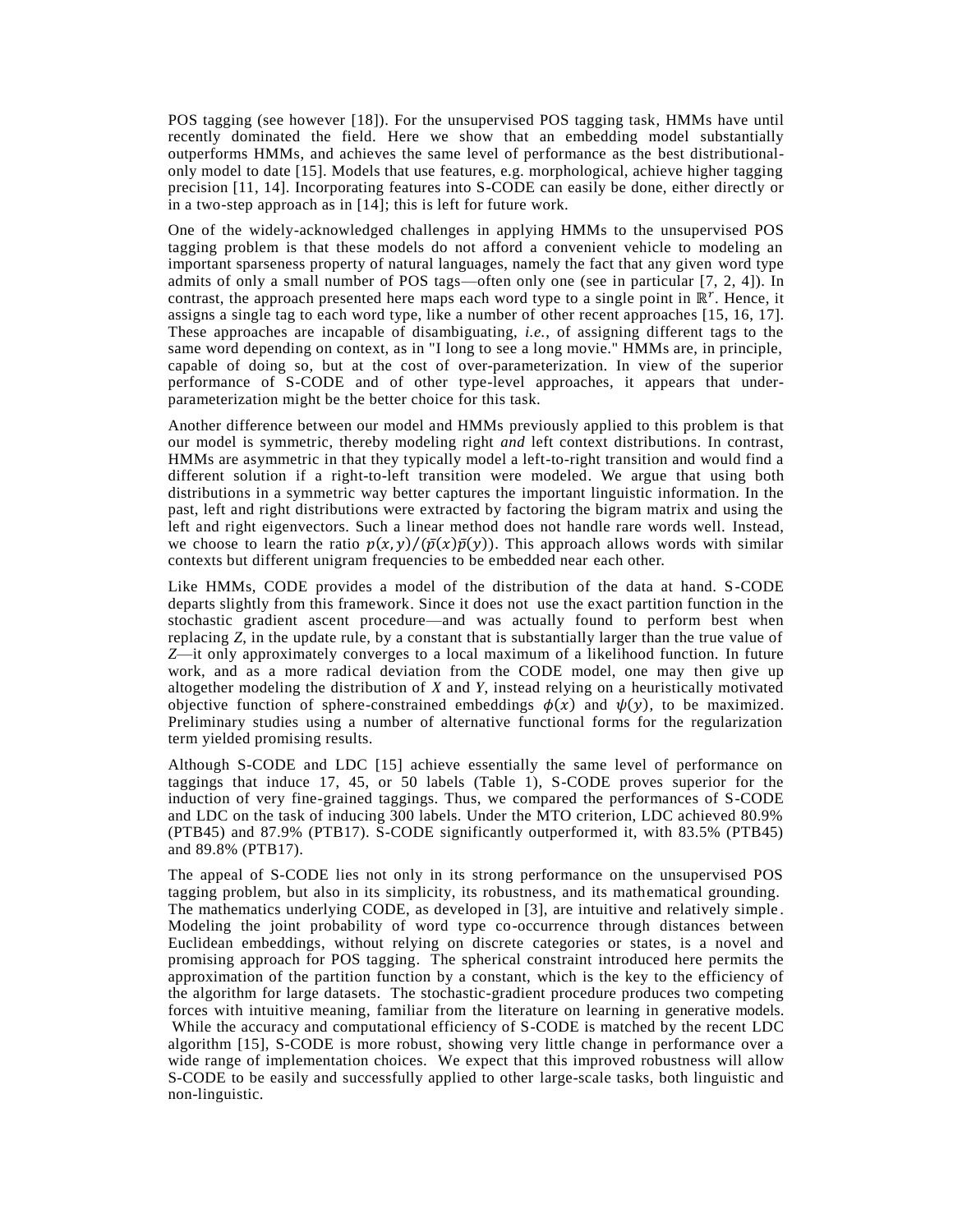POS tagging (see however [18]). For the unsupervised POS tagging task, HMMs have until recently dominated the field. Here we show that an embedding model substantially outperforms HMMs, and achieves the same level of performance as the best distributionalonly model to date [15]. Models that use features, e.g. morphological, achieve higher tagging precision [11, 14]. Incorporating features into S-CODE can easily be done, either directly or in a two-step approach as in [14]; this is left for future work.

One of the widely-acknowledged challenges in applying HMMs to the unsupervised POS tagging problem is that these models do not afford a convenient vehicle to modeling an important sparseness property of natural languages, namely the fact that any given word type admits of only a small number of POS tags—often only one (see in particular [7, 2, 4]). In contrast, the approach presented here maps each word type to a single point in  $\mathbb{R}^r$ . Hence, it assigns a single tag to each word type, like a number of other recent approaches [15, 16, 17]. These approaches are incapable of disambiguating, *i.e.*, of assigning different tags to the same word depending on context, as in "I long to see a long movie." HMMs are, in principle, capable of doing so, but at the cost of over-parameterization. In view of the superior performance of S-CODE and of other type-level approaches, it appears that underparameterization might be the better choice for this task.

Another difference between our model and HMMs previously applied to this problem is that our model is symmetric, thereby modeling right *and* left context distributions. In contrast, HMMs are asymmetric in that they typically model a left-to-right transition and would find a different solution if a right-to-left transition were modeled. We argue that using both distributions in a symmetric way better captures the important linguistic information. In the past, left and right distributions were extracted by factoring the bigram matrix and using the left and right eigenvectors. Such a linear method does not handle rare words well. Instead, we choose to learn the ratio  $p(x, y)/(\bar{p}(x)\bar{p}(y))$ . This approach allows words with similar contexts but different unigram frequencies to be embedded near each other.

Like HMMs, CODE provides a model of the distribution of the data at hand. S-CODE departs slightly from this framework. Since it does not use the exact partition function in the stochastic gradient ascent procedure—and was actually found to perform best when replacing *Z*, in the update rule, by a constant that is substantially larger than the true value of *Z*—it only approximately converges to a local maximum of a likelihood function. In future work, and as a more radical deviation from the CODE model, one may then give up altogether modeling the distribution of *X* and *Y*, instead relying on a heuristically motivated objective function of sphere-constrained embeddings  $\phi(x)$  and  $\psi(y)$ , to be maximized. Preliminary studies using a number of alternative functional forms for the regularization term yielded promising results.

Although S-CODE and LDC [15] achieve essentially the same level of performance on taggings that induce 17, 45, or 50 labels (Table 1), S-CODE proves superior for the induction of very fine-grained taggings. Thus, we compared the performances of S-CODE and LDC on the task of inducing 300 labels. Under the MTO criterion, LDC achieved 80.9% (PTB45) and 87.9% (PTB17). S-CODE significantly outperformed it, with 83.5% (PTB45) and 89.8% (PTB17).

The appeal of S-CODE lies not only in its strong performance on the unsupervised POS tagging problem, but also in its simplicity, its robustness, and its mathematical grounding. The mathematics underlying CODE, as developed in [3], are intuitive and relatively simple . Modeling the joint probability of word type co-occurrence through distances between Euclidean embeddings, without relying on discrete categories or states, is a novel and promising approach for POS tagging. The spherical constraint introduced here permits the approximation of the partition function by a constant, which is the key to the efficiency of the algorithm for large datasets. The stochastic-gradient procedure produces two competing forces with intuitive meaning, familiar from the literature on learning in generative models. While the accuracy and computational efficiency of S-CODE is matched by the recent LDC algorithm [15], S-CODE is more robust, showing very little change in performance over a wide range of implementation choices. We expect that this improved robustness will allow S-CODE to be easily and successfully applied to other large-scale tasks, both linguistic and non-linguistic.